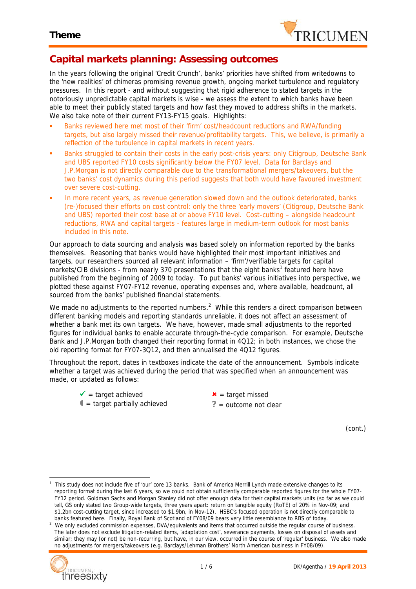

## **Capital markets planning: Assessing outcomes**

In the years following the original 'Credit Crunch', banks' priorities have shifted from writedowns to the 'new realities' of chimeras promising revenue growth, ongoing market turbulence and regulatory pressures. In this report - and without suggesting that rigid adherence to stated targets in the notoriously unpredictable capital markets is wise - we assess the extent to which banks have been able to meet their publicly stated targets and how fast they moved to address shifts in the markets. We also take note of their current FY13-FY15 goals. Highlights:

- Banks reviewed here met most of their 'firm' cost/headcount reductions and RWA/funding targets, but also largely missed their revenue/profitability targets. This, we believe, is primarily a reflection of the turbulence in capital markets in recent years.
- Banks struggled to contain their costs in the early post-crisis years: only Citigroup, Deutsche Bank and UBS reported FY10 costs significantly below the FY07 level. Data for Barclays and J.P.Morgan is not directly comparable due to the transformational mergers/takeovers, but the two banks' cost dynamics during this period suggests that both would have favoured investment over severe cost-cutting.
- In more recent years, as revenue generation slowed down and the outlook deteriorated, banks (re-)focused their efforts on cost control: only the three 'early movers' (Citigroup, Deutsche Bank and UBS) reported their cost base at or above FY10 level. Cost-cutting – alongside headcount reductions, RWA and capital targets - features large in medium-term outlook for most banks included in this note.

Our approach to data sourcing and analysis was based solely on information reported by the banks themselves. Reasoning that banks would have highlighted their most important initiatives and targets, our researchers sourced all relevant information – 'firm'/verifiable targets for capital markets/CIB divisions - from nearly 370 presentations that the eight banks<sup>1</sup> featured here have published from the beginning of 2009 to today. To put banks' various initiatives into perspective, we plotted these against FY07-FY12 revenue, operating expenses and, where available, headcount, all sourced from the banks' published financial statements.

We made no adjustments to the reported numbers.<sup>2</sup> While this renders a direct comparison between different banking models and reporting standards unreliable, it does not affect an assessment of whether a bank met its own targets. We have, however, made small adjustments to the reported figures for individual banks to enable accurate through-the-cycle comparison. For example, Deutsche Bank and J.P.Morgan both changed their reporting format in 4Q12; in both instances, we chose the old reporting format for FY07-3Q12, and then annualised the 4Q12 figures.

Throughout the report, dates in textboxes indicate the date of the announcement. Symbols indicate whether a target was achieved during the period that was specified when an announcement was made, or updated as follows:

- $\mathbf{v}$  = target achieved  $\mathbf{v}$  = target missed
- $\bullet$  = target partially achieved  $\bullet$   $\circ$  = outcome not clear

*(cont.)*

*<sup>2</sup> We only excluded commission expenses, DVA/equivalents and items that occurred outside the regular course of business. The later does not exclude litigation-related items, 'adaptation cost', severance payments, losses on disposal of assets and similar; they may (or not) be non-recurring, but have, in our view, occurred in the course of 'regular' business. We also made no adjustments for mergers/takeovers (e.g. Barclays/Lehman Brothers' North American business in FY08/09).*



*<sup>1</sup> This study does not include five of 'our' core 13 banks. Bank of America Merrill Lynch made extensive changes to its reporting format during the last 6 years, so we could not obtain sufficiently comparable reported figures for the whole FY07- FY12 period. Goldman Sachs and Morgan Stanley did not offer enough data for their capital markets units (so far as we could tell, GS only stated two Group-wide targets, three years apart: return on tangible equity (RoTE) of 20% in Nov-09; and \$1.2bn cost-cutting target, since increased to \$1.9bn, in Nov-12). HSBC's focused operation is not directly comparable to banks featured here. Finally, Royal Bank of Scotland of FY08/09 bears very little resemblance to RBS of today.*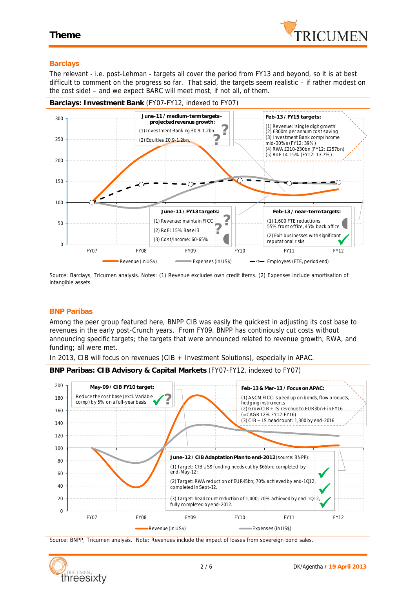

## **Barclays**

The relevant - i.e. post-Lehman - targets all cover the period from FY13 and beyond, so it is at best difficult to comment on the progress so far. That said, the targets seem realistic – if rather modest on the cost side! – and we expect BARC will meet most, if not all, of them.



*Source: Barclays, Tricumen analysis. Notes: (1) Revenue excludes own credit items. (2) Expenses include amortisation of intangible assets.*

## **BNP Paribas**

Among the peer group featured here, BNPP CIB was easily the quickest in adjusting its cost base to revenues in the early post-Crunch years. From FY09, BNPP has continiously cut costs without announcing specific targets; the targets that were announced related to revenue growth, RWA, and funding; all were met.

In 2013, CIB will focus on revenues (CIB + Investment Solutions), especially in APAC.





*Source: BNPP, Tricumen analysis. Note: Revenues include the impact of losses from sovereign bond sales.*

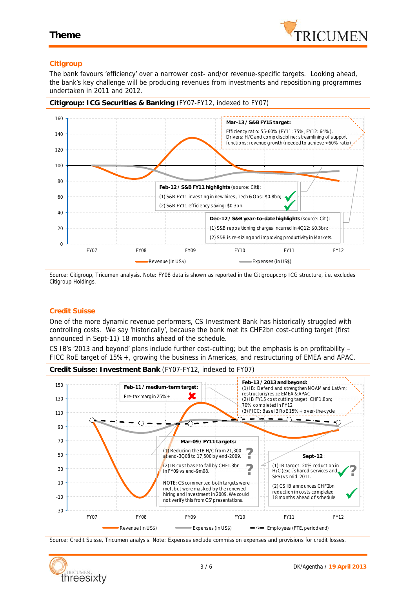

## **Citigroup**

The bank favours 'efficiency' over a narrower cost- and/or revenue-specific targets. Looking ahead, the bank's key challenge will be producing revenues from investments and repositioning programmes undertaken in 2011 and 2012.



**Citigroup: ICG Securities & Banking** (FY07-FY12, indexed to FY07)

*Source: Citigroup, Tricumen analysis. Note: FY08 data is shown as reported in the Citigroupcorp ICG structure, i.e. excludes Citigroup Holdings.*

## **Credit Suisse**

One of the more dynamic revenue performers, CS Investment Bank has historically struggled with controlling costs. We say 'historically', because the bank met its CHF2bn cost-cutting target (first announced in Sept-11) 18 months ahead of the schedule.

CS IB's '2013 and beyond' plans include further cost-cutting; but the emphasis is on profitability – FICC RoE target of 15%+, growing the business in Americas, and restructuring of EMEA and APAC.





*Source: Credit Suisse, Tricumen analysis. Note: Expenses exclude commission expenses and provisions for credit losses.*

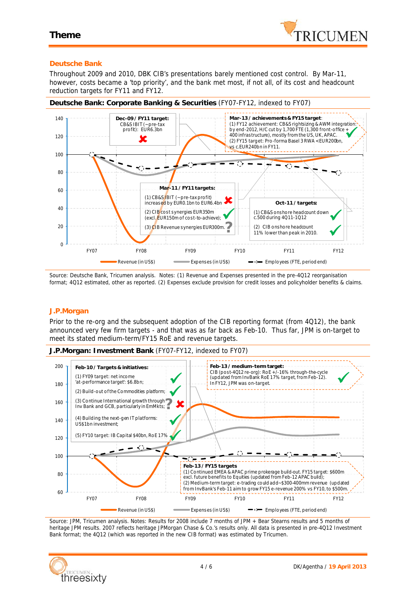

## **Deutsche Bank**

Throughout 2009 and 2010, DBK CIB's presentations barely mentioned cost control. By Mar-11, however, costs became a 'top priority', and the bank met most, if not all, of its cost and headcount reduction targets for FY11 and FY12.



*Source: Deutsche Bank, Tricumen analysis. Notes: (1) Revenue and Expenses presented in the pre-4Q12 reorganisation format; 4Q12 estimated, other as reported. (2) Expenses exclude provision for credit losses and policyholder benefits & claims.*

#### **J.P.Morgan**

Prior to the re-org and the subsequent adoption of the CIB reporting format (from 4Q12), the bank announced very few firm targets - and that was as far back as Feb-10. Thus far, JPM is on-target to meet its stated medium-term/FY15 RoE and revenue targets.

**J.P.Morgan: Investment Bank** (FY07-FY12, indexed to FY07)



*Source: JPM, Tricumen analysis. Notes: Results for 2008 include 7 months of JPM + Bear Stearns results and 5 months of heritage JPM results. 2007 reflects heritage JPMorgan Chase & Co.'s results only. All data is presented in pre-4Q12 Investment Bank format; the 4Q12 (which was reported in the new CIB format) was estimated by Tricumen.*

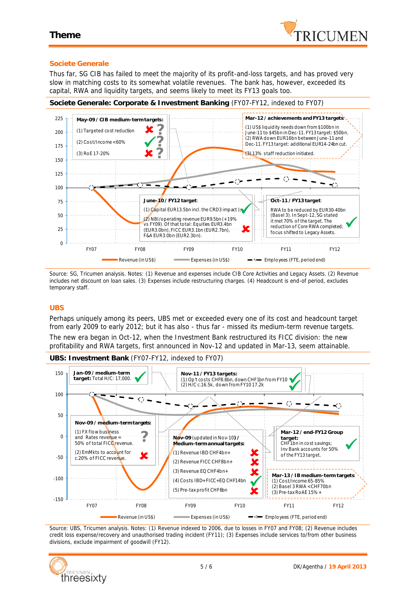

## **Societe Generale**

Thus far, SG CIB has failed to meet the majority of its profit-and-loss targets, and has proved very slow in matching costs to its somewhat volatile revenues. The bank has, however, exceeded its capital, RWA and liquidity targets, and seems likely to meet its FY13 goals too.

**Societe Generale: Corporate & Investment Banking** (FY07-FY12, indexed to FY07)



*Source: SG, Tricumen analysis. Notes: (1) Revenue and expenses include CIB Core Activities and Legacy Assets. (2) Revenue includes net discount on loan sales. (3) Expenses include restructuring charges. (4) Headcount is end-of period, excludes temporary staff.*

## **UBS**

Perhaps uniquely among its peers, UBS met or exceeded every one of its cost and headcount target from early 2009 to early 2012; but it has also - thus far - missed its medium-term revenue targets. The new era began in Oct-12, when the Investment Bank restructured its FICC division: the new profitability and RWA targets, first announced in Nov-12 and updated in Mar-13, seem attainable.



*Source: UBS, Tricumen analysis. Notes: (1) Revenue indexed to 2006, due to losses in FY07 and FY08; (2) Revenue includes credit loss expense/recovery and unauthorised trading incident (FY11); (3) Expenses include services to/from other business divisions, exclude impairment of goodwill (FY12).*